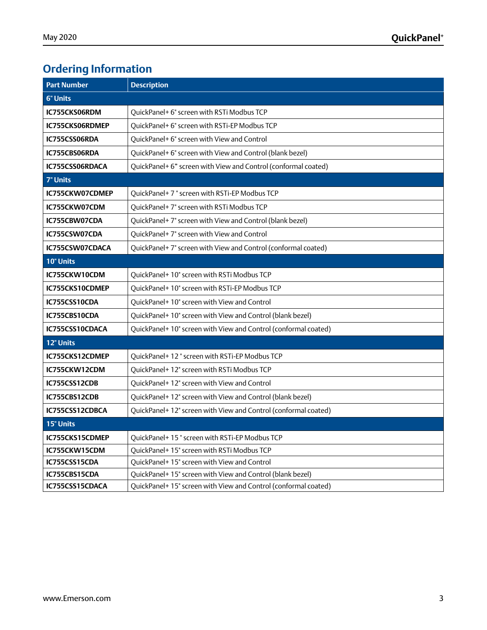# **Ordering Information**

| <b>Part Number</b> | <b>Description</b>                                              |  |
|--------------------|-----------------------------------------------------------------|--|
| <b>6" Units</b>    |                                                                 |  |
| IC755CKS06RDM      | QuickPanel+ 6" screen with RSTi Modbus TCP                      |  |
| IC755CKS06RDMEP    | QuickPanel+ 6" screen with RSTi-EP Modbus TCP                   |  |
| IC755CSS06RDA      | QuickPanel+ 6" screen with View and Control                     |  |
| IC755CBS06RDA      | QuickPanel+ 6" screen with View and Control (blank bezel)       |  |
| IC755CSS06RDACA    | QuickPanel+ 6" screen with View and Control (conformal coated)  |  |
| 7" Units           |                                                                 |  |
| IC755CKW07CDMEP    | QuickPanel+7" screen with RSTi-EP Modbus TCP                    |  |
| IC755CKW07CDM      | QuickPanel+7" screen with RSTi Modbus TCP                       |  |
| IC755CBW07CDA      | QuickPanel+7" screen with View and Control (blank bezel)        |  |
| IC755CSW07CDA      | QuickPanel+7" screen with View and Control                      |  |
| IC755CSW07CDACA    | QuickPanel+7" screen with View and Control (conformal coated)   |  |
| <b>10" Units</b>   |                                                                 |  |
| IC755CKW10CDM      | QuickPanel+ 10" screen with RSTi Modbus TCP                     |  |
| IC755CKS10CDMEP    | QuickPanel+10" screen with RSTi-EP Modbus TCP                   |  |
| IC755CSS10CDA      | QuickPanel+10" screen with View and Control                     |  |
| IC755CBS10CDA      | QuickPanel+ 10" screen with View and Control (blank bezel)      |  |
| IC755CSS10CDACA    | QuickPanel+ 10" screen with View and Control (conformal coated) |  |
| 12" Units          |                                                                 |  |
| IC755CKS12CDMEP    | OuickPanel+12" screen with RSTi-EP Modbus TCP                   |  |
| IC755CKW12CDM      | QuickPanel+ 12" screen with RSTi Modbus TCP                     |  |
| IC755CSS12CDB      | OuickPanel+12" screen with View and Control                     |  |
| IC755CBS12CDB      | QuickPanel+ 12" screen with View and Control (blank bezel)      |  |
| IC755CSS12CDBCA    | QuickPanel+ 12" screen with View and Control (conformal coated) |  |
| 15" Units          |                                                                 |  |
| IC755CKS15CDMEP    | QuickPanel+15" screen with RSTi-EP Modbus TCP                   |  |
| IC755CKW15CDM      | QuickPanel+ 15" screen with RSTi Modbus TCP                     |  |
| IC755CSS15CDA      | QuickPanel+ 15" screen with View and Control                    |  |
| IC755CBS15CDA      | QuickPanel+ 15" screen with View and Control (blank bezel)      |  |
| IC755CSS15CDACA    | QuickPanel+ 15" screen with View and Control (conformal coated) |  |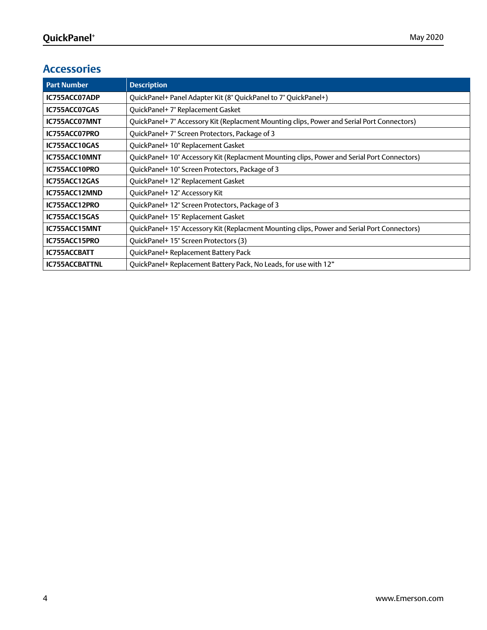# **Accessories**

| <b>Part Number</b>    | <b>Description</b>                                                                          |
|-----------------------|---------------------------------------------------------------------------------------------|
| IC755ACC07ADP         | QuickPanel+ Panel Adapter Kit (8" QuickPanel to 7" QuickPanel+)                             |
| IC755ACC07GAS         | QuickPanel+7" Replacement Gasket                                                            |
| IC755ACC07MNT         | QuickPanel+7" Accessory Kit (Replacment Mounting clips, Power and Serial Port Connectors)   |
| IC755ACC07PRO         | QuickPanel+7" Screen Protectors, Package of 3                                               |
| IC755ACC10GAS         | QuickPanel+10" Replacement Gasket                                                           |
| IC755ACC10MNT         | QuickPanel+ 10" Accessory Kit (Replacment Mounting clips, Power and Serial Port Connectors) |
| IC755ACC10PRO         | QuickPanel+10" Screen Protectors, Package of 3                                              |
| IC755ACC12GAS         | QuickPanel+12" Replacement Gasket                                                           |
| IC755ACC12MND         | QuickPanel+12" Accessory Kit                                                                |
| IC755ACC12PRO         | QuickPanel+12" Screen Protectors, Package of 3                                              |
| IC755ACC15GAS         | QuickPanel+15" Replacement Gasket                                                           |
| IC755ACC15MNT         | QuickPanel+ 15" Accessory Kit (Replacment Mounting clips, Power and Serial Port Connectors) |
| IC755ACC15PRO         | QuickPanel+15" Screen Protectors (3)                                                        |
| <b>IC755ACCBATT</b>   | QuickPanel+ Replacement Battery Pack                                                        |
| <b>IC755ACCBATTNL</b> | QuickPanel+ Replacement Battery Pack, No Leads, for use with 12"                            |